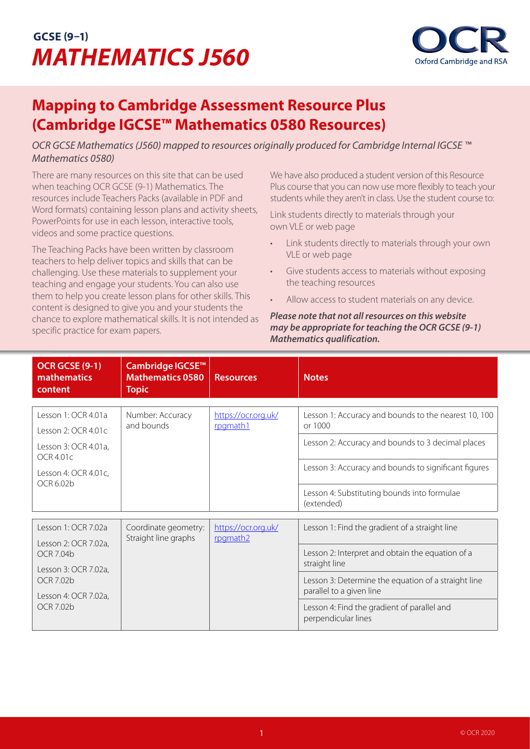## **GCSE (9–1)** *MATHEMATICS J560*



## **Mapping to Cambridge Assessment Resource Plus (Cambridge IGCSE™ Mathematics 0580 Resources)**

*OCR GCSE Mathematics (J560) mapped to resources originally produced for Cambridge Internal IGCSE ™ Mathematics 0580)*

There are many resources on this site that can be used when teaching OCR GCSE (9-1) Mathematics. The resources include Teachers Packs (available in PDF and Word formats) containing lesson plans and activity sheets, PowerPoints for use in each lesson, interactive tools, videos and some practice questions.

The Teaching Packs have been written by classroom teachers to help deliver topics and skills that can be challenging. Use these materials to supplement your teaching and engage your students. You can also use them to help you create lesson plans for other skills. This content is designed to give you and your students the chance to explore mathematical skills. It is not intended as specific practice for exam papers.

We have also produced a student version of this Resource Plus course that you can now use more flexibly to teach your students while they aren't in class. Use the student course to:

Link students directly to materials through your own VLE or web page

- Link students directly to materials through your own VLE or web page
- Give students access to materials without exposing the teaching resources
- Allow access to student materials on any device.

*Please note that not all resources on this website may be appropriate for teaching the OCR GCSE (9-1) Mathematics qualification.*

| <b>OCR GCSE (9-1)</b><br><b>mathematics</b><br>content                                                                                    | Cambridge IGCSE <sup>™</sup><br><b>Mathematics 0580</b><br><b>Topic</b> | <b>Resources</b>                | <b>Notes</b>                                                                                                                                                                                                                                                                 |
|-------------------------------------------------------------------------------------------------------------------------------------------|-------------------------------------------------------------------------|---------------------------------|------------------------------------------------------------------------------------------------------------------------------------------------------------------------------------------------------------------------------------------------------------------------------|
| Lesson 1: OCR 4.01a<br>Lesson $2:$ OCR 4.01c<br>Lesson 3: OCR 4.01a,<br>OCR4.01c<br>Lesson 4: OCR 4.01c,<br>OCR 6.02b                     | Number: Accuracy<br>and bounds                                          | https://ocr.org.uk/<br>rpgmath1 | Lesson 1: Accuracy and bounds to the nearest 10, 100<br>or 1000<br>Lesson 2: Accuracy and bounds to 3 decimal places<br>Lesson 3: Accuracy and bounds to significant figures<br>Lesson 4: Substituting bounds into formulae<br>(extended)                                    |
| Lesson 1: OCR 7.02a<br>Lesson 2: OCR 7.02a,<br>OCR 7.04b<br>Lesson 3: OCR 7.02a,<br>OCR 7.02b<br>Lesson 4: OCR 7.02a,<br><b>OCR 7.02b</b> | Coordinate geometry:<br>Straight line graphs                            | https://ocr.org.uk/<br>rpgmath2 | Lesson 1: Find the gradient of a straight line<br>Lesson 2: Interpret and obtain the equation of a<br>straight line<br>Lesson 3: Determine the equation of a straight line<br>parallel to a given line<br>Lesson 4: Find the gradient of parallel and<br>perpendicular lines |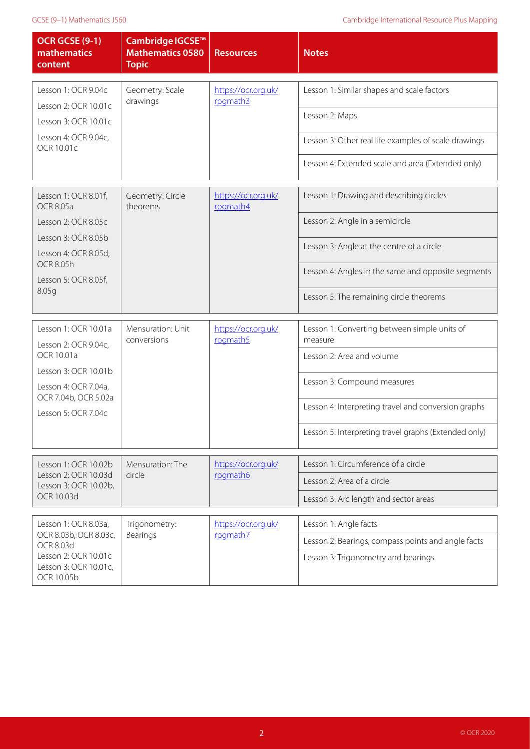| <b>OCR GCSE (9-1)</b><br>mathematics<br>content                                                                           | Cambridge IGCSE <sup>™</sup><br><b>Mathematics 0580</b><br><b>Topic</b> | <b>Resources</b>                | <b>Notes</b>                                            |
|---------------------------------------------------------------------------------------------------------------------------|-------------------------------------------------------------------------|---------------------------------|---------------------------------------------------------|
| Lesson 1: OCR 9.04c<br>Lesson 2: OCR 10.01c                                                                               | Geometry: Scale<br>drawings                                             | https://ocr.org.uk/<br>rpgmath3 | Lesson 1: Similar shapes and scale factors              |
| Lesson 3: OCR 10.01c                                                                                                      |                                                                         |                                 | Lesson 2: Maps                                          |
| Lesson 4: OCR 9.04c,<br>OCR 10.01c                                                                                        |                                                                         |                                 | Lesson 3: Other real life examples of scale drawings    |
|                                                                                                                           |                                                                         |                                 | Lesson 4: Extended scale and area (Extended only)       |
| Lesson 1: OCR 8.01f,<br><b>OCR 8.05a</b>                                                                                  | Geometry: Circle<br>theorems                                            | https://ocr.org.uk/<br>rpgmath4 | Lesson 1: Drawing and describing circles                |
| Lesson 2: OCR 8.05c                                                                                                       |                                                                         |                                 | Lesson 2: Angle in a semicircle                         |
| Lesson 3: OCR 8.05b<br>Lesson 4: OCR 8.05d,                                                                               |                                                                         |                                 | Lesson 3: Angle at the centre of a circle               |
| <b>OCR 8.05h</b><br>Lesson 5: OCR 8.05f,<br>8.05g                                                                         |                                                                         |                                 | Lesson 4: Angles in the same and opposite segments      |
|                                                                                                                           |                                                                         |                                 | Lesson 5: The remaining circle theorems                 |
| Lesson 1: OCR 10.01a<br>Lesson 2: OCR 9.04c,                                                                              | Mensuration: Unit<br>conversions                                        | https://ocr.org.uk/<br>rpgmath5 | Lesson 1: Converting between simple units of<br>measure |
| OCR 10.01a                                                                                                                |                                                                         |                                 | Lesson 2: Area and volume                               |
| Lesson 3: OCR 10.01b<br>Lesson 4: OCR 7.04a,<br>OCR 7.04b, OCR 5.02a                                                      |                                                                         |                                 | Lesson 3: Compound measures                             |
| Lesson 5: OCR 7.04c                                                                                                       |                                                                         |                                 | Lesson 4: Interpreting travel and conversion graphs     |
|                                                                                                                           |                                                                         |                                 | Lesson 5: Interpreting travel graphs (Extended only)    |
| Lesson 1: OCR 10.02b<br>Lesson 2: OCR 10.03d<br>Lesson 3: OCR 10.02b,                                                     | Mensuration: The<br>circle                                              | https://ocr.org.uk/<br>rpgmath6 | Lesson 1: Circumference of a circle                     |
|                                                                                                                           |                                                                         |                                 | Lesson 2: Area of a circle                              |
| OCR 10.03d                                                                                                                |                                                                         |                                 | Lesson 3: Arc length and sector areas                   |
| Lesson 1: OCR 8.03a,<br>OCR 8.03b, OCR 8.03c,<br>OCR 8.03d<br>Lesson 2: OCR 10.01c<br>Lesson 3: OCR 10.01c,<br>OCR 10.05b | Trigonometry:<br>Bearings                                               | https://ocr.org.uk/<br>rpgmath7 | Lesson 1: Angle facts                                   |
|                                                                                                                           |                                                                         |                                 | Lesson 2: Bearings, compass points and angle facts      |
|                                                                                                                           |                                                                         |                                 | Lesson 3: Trigonometry and bearings                     |